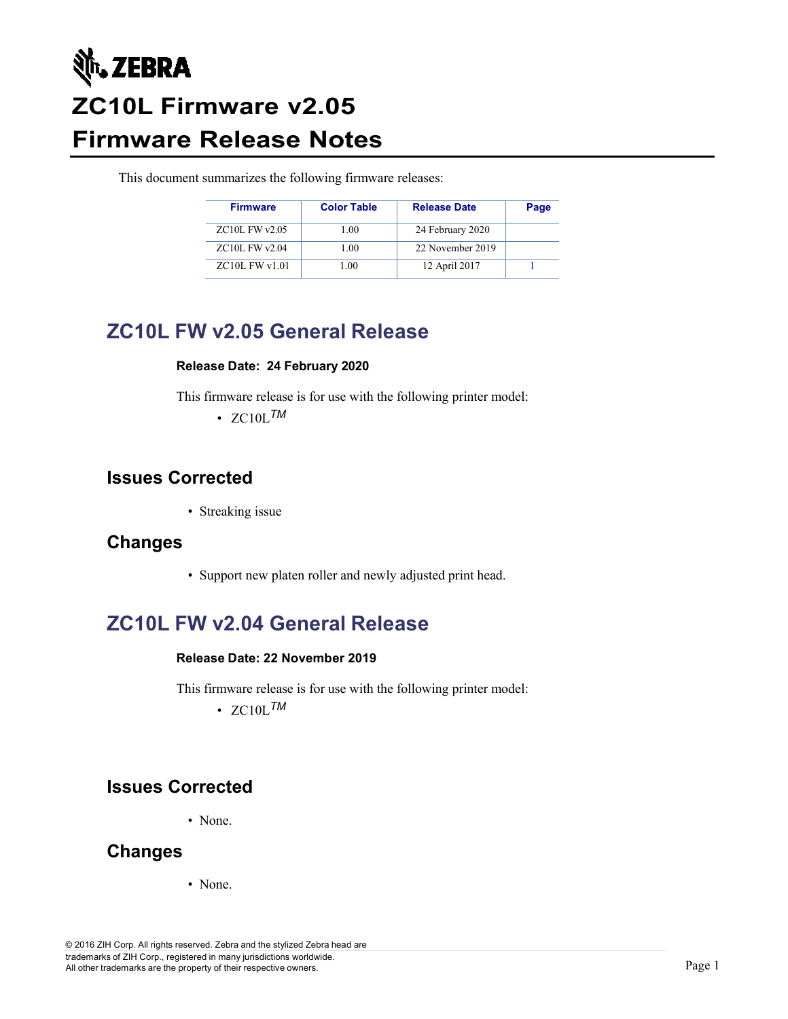

# **ZC10L Firmware v2.05 Firmware Release Notes**

This document summarizes the following firmware releases:

| <b>Firmware</b>    | <b>Color Table</b> | <b>Release Date</b> | Page |
|--------------------|--------------------|---------------------|------|
| $ZC10L$ FW $v2.05$ | 1.00               | 24 February 2020    |      |
| ZC10L FW v2.04     | 1.00               | 22 November 2019    |      |
| $ZC10L$ FW $v1.01$ | 1.00               | 12 April 2017       |      |

## **ZC10L FW v2.05 General Release**

#### **Release Date: 24 February 2020**

This firmware release is for use with the following printer model:

 $\cdot$  ZC<sub>10</sub>L<sub>TM</sub>

#### **Issues Corrected**

• Streaking issue

#### **Changes**

• Support new platen roller and newly adjusted print head.

## **ZC10L FW v2.04 General Release**

#### **Release Date: 22 November 2019**

This firmware release is for use with the following printer model:

 $\cdot$  ZC<sub>10L</sub>*TM* 

### **Issues Corrected**

• None.

### **Changes**

• None.